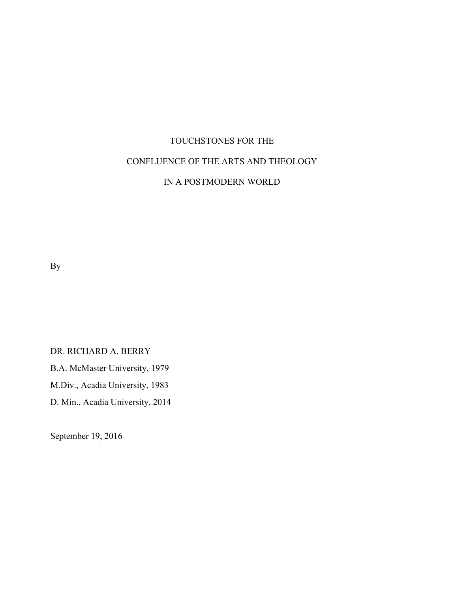# TOUCHSTONES FOR THE CONFLUENCE OF THE ARTS AND THEOLOGY IN A POSTMODERN WORLD

By

DR. RICHARD A. BERRY B.A. McMaster University, 1979 M.Div., Acadia University, 1983 D. Min., Acadia University, 2014

September 19, 2016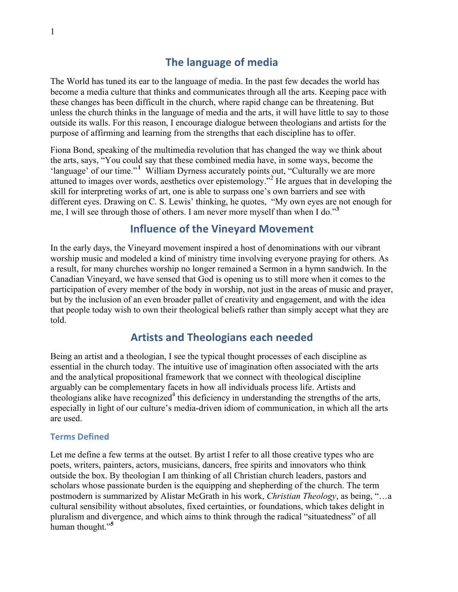# **The language of media**

The World has tuned its ear to the language of media. In the past few decades the world has become a media culture that thinks and communicates through all the arts. Keeping pace with these changes has been difficult in the church, where rapid change can be threatening. But unless the church thinks in the language of media and the arts, it will have little to say to those outside its walls. For this reason, I encourage dialogue between theologians and artists for the purpose of affirming and learning from the strengths that each discipline has to offer.

Fiona Bond, speaking of the multimedia revolution that has changed the way we think about the arts, says, "You could say that these combined media have, in some ways, become the 'language' of our time."<sup>1</sup> William Dyrness accurately points out, "Culturally we are more attuned to images over words, aesthetics over epistemology."2 He argues that in developing the skill for interpreting works of art, one is able to surpass one's own barriers and see with different eyes. Drawing on C. S. Lewis' thinking, he quotes, "My own eyes are not enough for me, I will see through those of others. I am never more myself than when I do."**<sup>3</sup>**

# **Influence of the Vineyard Movement**

In the early days, the Vineyard movement inspired a host of denominations with our vibrant worship music and modeled a kind of ministry time involving everyone praying for others. As a result, for many churches worship no longer remained a Sermon in a hymn sandwich. In the Canadian Vineyard, we have sensed that God is opening us to still more when it comes to the participation of every member of the body in worship, not just in the areas of music and prayer, but by the inclusion of an even broader pallet of creativity and engagement, and with the idea that people today wish to own their theological beliefs rather than simply accept what they are told.

# **Artists and Theologians each needed**

Being an artist and a theologian, I see the typical thought processes of each discipline as essential in the church today. The intuitive use of imagination often associated with the arts and the analytical propositional framework that we connect with theological discipline arguably can be complementary facets in how all individuals process life. Artists and theologians alike have recognized<sup>4</sup> this deficiency in understanding the strengths of the arts, especially in light of our culture's media-driven idiom of communication, in which all the arts are used.

#### **Terms Defined**

Let me define a few terms at the outset. By artist I refer to all those creative types who are poets, writers, painters, actors, musicians, dancers, free spirits and innovators who think outside the box. By theologian I am thinking of all Christian church leaders, pastors and scholars whose passionate burden is the equipping and shepherding of the church. The term postmodern is summarized by Alistar McGrath in his work, *Christian Theology*, as being, "…a cultural sensibility without absolutes, fixed certainties, or foundations, which takes delight in pluralism and divergence, and which aims to think through the radical "situatedness" of all human thought."**<sup>5</sup>**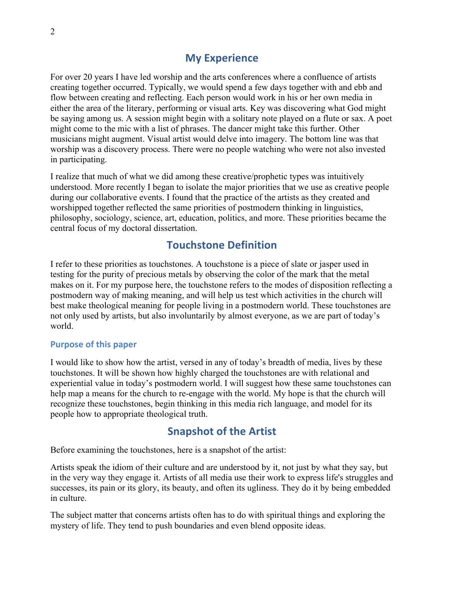# **My Experience**

For over 20 years I have led worship and the arts conferences where a confluence of artists creating together occurred. Typically, we would spend a few days together with and ebb and flow between creating and reflecting. Each person would work in his or her own media in either the area of the literary, performing or visual arts. Key was discovering what God might be saying among us. A session might begin with a solitary note played on a flute or sax. A poet might come to the mic with a list of phrases. The dancer might take this further. Other musicians might augment. Visual artist would delve into imagery. The bottom line was that worship was a discovery process. There were no people watching who were not also invested in participating.

I realize that much of what we did among these creative/prophetic types was intuitively understood. More recently I began to isolate the major priorities that we use as creative people during our collaborative events. I found that the practice of the artists as they created and worshipped together reflected the same priorities of postmodern thinking in linguistics, philosophy, sociology, science, art, education, politics, and more. These priorities became the central focus of my doctoral dissertation.

# **Touchstone Definition**

I refer to these priorities as touchstones. A touchstone is a piece of slate or jasper used in testing for the purity of precious metals by observing the color of the mark that the metal makes on it. For my purpose here, the touchstone refers to the modes of disposition reflecting a postmodern way of making meaning, and will help us test which activities in the church will best make theological meaning for people living in a postmodern world. These touchstones are not only used by artists, but also involuntarily by almost everyone, as we are part of today's world.

#### **Purpose of this paper**

I would like to show how the artist, versed in any of today's breadth of media, lives by these touchstones. It will be shown how highly charged the touchstones are with relational and experiential value in today's postmodern world. I will suggest how these same touchstones can help map a means for the church to re-engage with the world. My hope is that the church will recognize these touchstones, begin thinking in this media rich language, and model for its people how to appropriate theological truth.

### **Snapshot of the Artist**

Before examining the touchstones, here is a snapshot of the artist:

Artists speak the idiom of their culture and are understood by it, not just by what they say, but in the very way they engage it. Artists of all media use their work to express life's struggles and successes, its pain or its glory, its beauty, and often its ugliness. They do it by being embedded in culture.

The subject matter that concerns artists often has to do with spiritual things and exploring the mystery of life. They tend to push boundaries and even blend opposite ideas.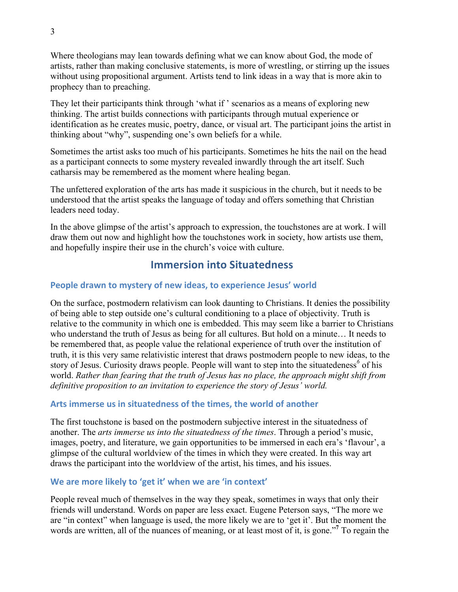Where theologians may lean towards defining what we can know about God, the mode of artists, rather than making conclusive statements, is more of wrestling, or stirring up the issues without using propositional argument. Artists tend to link ideas in a way that is more akin to prophecy than to preaching.

They let their participants think through 'what if ' scenarios as a means of exploring new thinking. The artist builds connections with participants through mutual experience or identification as he creates music, poetry, dance, or visual art. The participant joins the artist in thinking about "why", suspending one's own beliefs for a while.

Sometimes the artist asks too much of his participants. Sometimes he hits the nail on the head as a participant connects to some mystery revealed inwardly through the art itself. Such catharsis may be remembered as the moment where healing began.

The unfettered exploration of the arts has made it suspicious in the church, but it needs to be understood that the artist speaks the language of today and offers something that Christian leaders need today.

In the above glimpse of the artist's approach to expression, the touchstones are at work. I will draw them out now and highlight how the touchstones work in society, how artists use them, and hopefully inspire their use in the church's voice with culture.

# **Immersion into Situatedness**

### People drawn to mystery of new ideas, to experience Jesus' world

On the surface, postmodern relativism can look daunting to Christians. It denies the possibility of being able to step outside one's cultural conditioning to a place of objectivity. Truth is relative to the community in which one is embedded. This may seem like a barrier to Christians who understand the truth of Jesus as being for all cultures. But hold on a minute… It needs to be remembered that, as people value the relational experience of truth over the institution of truth, it is this very same relativistic interest that draws postmodern people to new ideas, to the story of Jesus. Curiosity draws people. People will want to step into the situatedeness*<sup>6</sup>* of his world. *Rather than fearing that the truth of Jesus has no place, the approach might shift from definitive proposition to an invitation to experience the story of Jesus' world.*

### Arts immerse us in situatedness of the times, the world of another

The first touchstone is based on the postmodern subjective interest in the situatedness of another. The *arts immerse us into the situatedness of the times*. Through a period's music, images, poetry, and literature, we gain opportunities to be immersed in each era's 'flavour', a glimpse of the cultural worldview of the times in which they were created. In this way art draws the participant into the worldview of the artist, his times, and his issues.

### We are more likely to 'get it' when we are 'in context'

People reveal much of themselves in the way they speak, sometimes in ways that only their friends will understand. Words on paper are less exact. Eugene Peterson says, "The more we are "in context" when language is used, the more likely we are to 'get it'. But the moment the words are written, all of the nuances of meaning, or at least most of it, is gone."**<sup>7</sup>** To regain the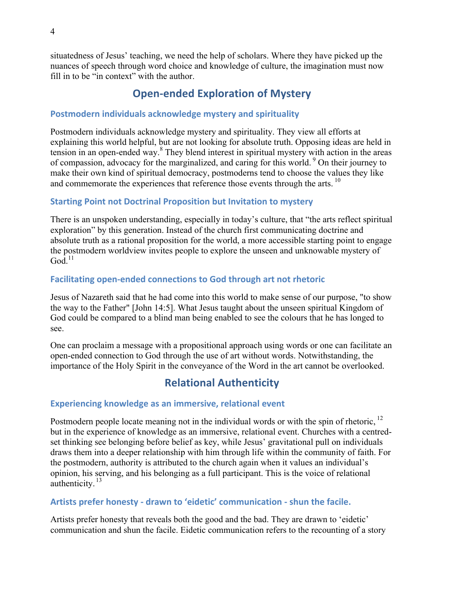situatedness of Jesus' teaching, we need the help of scholars. Where they have picked up the nuances of speech through word choice and knowledge of culture, the imagination must now fill in to be "in context" with the author.

# **Open-ended Exploration of Mystery**

### **Postmodern individuals acknowledge mystery and spirituality**

Postmodern individuals acknowledge mystery and spirituality. They view all efforts at explaining this world helpful, but are not looking for absolute truth. Opposing ideas are held in tension in an open-ended way. <sup>8</sup> They blend interest in spiritual mystery with action in the areas of compassion, advocacy for the marginalized, and caring for this world. <sup>9</sup> On their journey to make their own kind of spiritual democracy, postmoderns tend to choose the values they like and commemorate the experiences that reference those events through the arts.<sup>10</sup>

### **Starting Point not Doctrinal Proposition but Invitation to mystery**

There is an unspoken understanding, especially in today's culture, that "the arts reflect spiritual exploration" by this generation. Instead of the church first communicating doctrine and absolute truth as a rational proposition for the world, a more accessible starting point to engage the postmodern worldview invites people to explore the unseen and unknowable mystery of  $God.<sup>11</sup>$ 

### **Facilitating open-ended connections to God through art not rhetoric**

Jesus of Nazareth said that he had come into this world to make sense of our purpose, "to show the way to the Father" [John 14:5]. What Jesus taught about the unseen spiritual Kingdom of God could be compared to a blind man being enabled to see the colours that he has longed to see.

One can proclaim a message with a propositional approach using words or one can facilitate an open-ended connection to God through the use of art without words. Notwithstanding, the importance of the Holy Spirit in the conveyance of the Word in the art cannot be overlooked.

# **Relational Authenticity**

### **Experiencing knowledge as an immersive, relational event**

Postmodern people locate meaning not in the individual words or with the spin of rhetoric,  $^{12}$ but in the experience of knowledge as an immersive, relational event. Churches with a centredset thinking see belonging before belief as key, while Jesus' gravitational pull on individuals draws them into a deeper relationship with him through life within the community of faith. For the postmodern, authority is attributed to the church again when it values an individual's opinion, his serving, and his belonging as a full participant. This is the voice of relational authenticity.  $13$ 

### Artists prefer honesty - drawn to 'eidetic' communication - shun the facile.

Artists prefer honesty that reveals both the good and the bad. They are drawn to 'eidetic' communication and shun the facile. Eidetic communication refers to the recounting of a story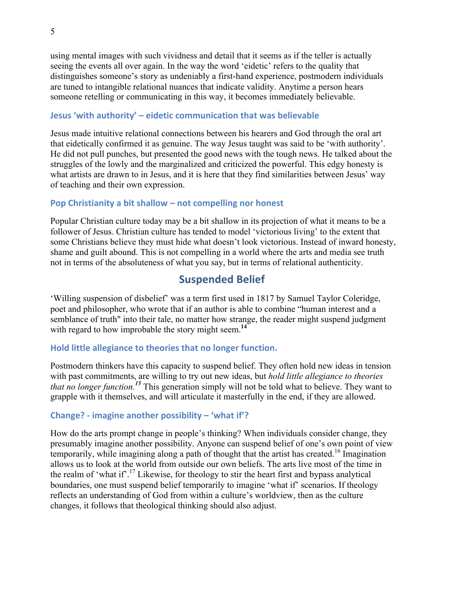using mental images with such vividness and detail that it seems as if the teller is actually seeing the events all over again. In the way the word 'eidetic' refers to the quality that distinguishes someone's story as undeniably a first-hand experience, postmodern individuals are tuned to intangible relational nuances that indicate validity. Anytime a person hears someone retelling or communicating in this way, it becomes immediately believable.

#### **Jesus 'with authority' – eidetic communication that was believable**

Jesus made intuitive relational connections between his hearers and God through the oral art that eidetically confirmed it as genuine. The way Jesus taught was said to be 'with authority'. He did not pull punches, but presented the good news with the tough news. He talked about the struggles of the lowly and the marginalized and criticized the powerful. This edgy honesty is what artists are drawn to in Jesus, and it is here that they find similarities between Jesus' way of teaching and their own expression.

#### **Pop Christianity a bit shallow – not compelling nor honest**

Popular Christian culture today may be a bit shallow in its projection of what it means to be a follower of Jesus. Christian culture has tended to model 'victorious living' to the extent that some Christians believe they must hide what doesn't look victorious. Instead of inward honesty, shame and guilt abound. This is not compelling in a world where the arts and media see truth not in terms of the absoluteness of what you say, but in terms of relational authenticity.

# **Suspended Belief**

'Willing suspension of disbelief' was a term first used in 1817 by Samuel Taylor Coleridge, poet and philosopher, who wrote that if an author is able to combine "human interest and a semblance of truth" into their tale, no matter how strange, the reader might suspend judgment with regard to how improbable the story might seem.<sup>14</sup>

### Hold little allegiance to theories that no longer function.

Postmodern thinkers have this capacity to suspend belief. They often hold new ideas in tension with past commitments, are willing to try out new ideas, but *hold little allegiance to theories that no longer function.<sup>15</sup>* This generation simply will not be told what to believe. They want to grapple with it themselves, and will articulate it masterfully in the end, if they are allowed.

### **Change? - imagine another possibility – 'what if'?**

How do the arts prompt change in people's thinking? When individuals consider change, they presumably imagine another possibility. Anyone can suspend belief of one's own point of view temporarily, while imagining along a path of thought that the artist has created.<sup>16</sup> Imagination allows us to look at the world from outside our own beliefs. The arts live most of the time in the realm of 'what if'.<sup>17</sup> Likewise, for theology to stir the heart first and bypass analytical boundaries, one must suspend belief temporarily to imagine 'what if' scenarios. If theology reflects an understanding of God from within a culture's worldview, then as the culture changes, it follows that theological thinking should also adjust.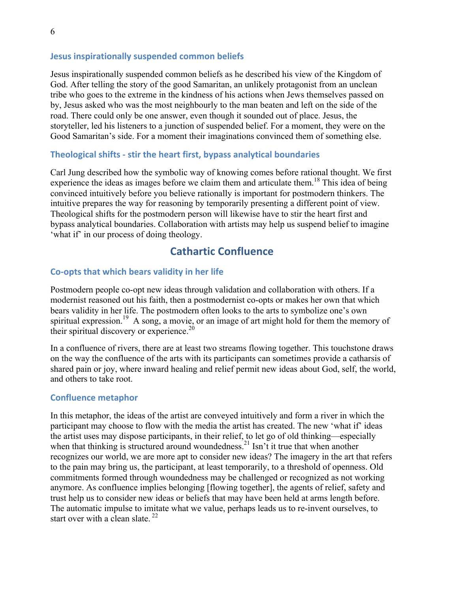#### **Jesus inspirationally suspended common beliefs**

Jesus inspirationally suspended common beliefs as he described his view of the Kingdom of God. After telling the story of the good Samaritan, an unlikely protagonist from an unclean tribe who goes to the extreme in the kindness of his actions when Jews themselves passed on by, Jesus asked who was the most neighbourly to the man beaten and left on the side of the road. There could only be one answer, even though it sounded out of place. Jesus, the storyteller, led his listeners to a junction of suspended belief. For a moment, they were on the Good Samaritan's side. For a moment their imaginations convinced them of something else.

#### **Theological shifts - stir the heart first, bypass analytical boundaries**

Carl Jung described how the symbolic way of knowing comes before rational thought. We first experience the ideas as images before we claim them and articulate them.<sup>18</sup> This idea of being convinced intuitively before you believe rationally is important for postmodern thinkers. The intuitive prepares the way for reasoning by temporarily presenting a different point of view. Theological shifts for the postmodern person will likewise have to stir the heart first and bypass analytical boundaries. Collaboration with artists may help us suspend belief to imagine 'what if' in our process of doing theology.

# **Cathartic Confluence**

#### **Co-opts that which bears validity in her life**

Postmodern people co-opt new ideas through validation and collaboration with others. If a modernist reasoned out his faith, then a postmodernist co-opts or makes her own that which bears validity in her life. The postmodern often looks to the arts to symbolize one's own spiritual expression.<sup>19</sup> A song, a movie, or an image of art might hold for them the memory of their spiritual discovery or experience.<sup>20</sup>

In a confluence of rivers, there are at least two streams flowing together. This touchstone draws on the way the confluence of the arts with its participants can sometimes provide a catharsis of shared pain or joy, where inward healing and relief permit new ideas about God, self, the world, and others to take root.

#### **Confluence metaphor**

In this metaphor, the ideas of the artist are conveyed intuitively and form a river in which the participant may choose to flow with the media the artist has created. The new 'what if' ideas the artist uses may dispose participants, in their relief, to let go of old thinking—especially when that thinking is structured around woundedness.<sup>21</sup> Isn't it true that when another recognizes our world, we are more apt to consider new ideas? The imagery in the art that refers to the pain may bring us, the participant, at least temporarily, to a threshold of openness. Old commitments formed through woundedness may be challenged or recognized as not working anymore. As confluence implies belonging [flowing together], the agents of relief, safety and trust help us to consider new ideas or beliefs that may have been held at arms length before. The automatic impulse to imitate what we value, perhaps leads us to re-invent ourselves, to start over with a clean slate.  $^{22}$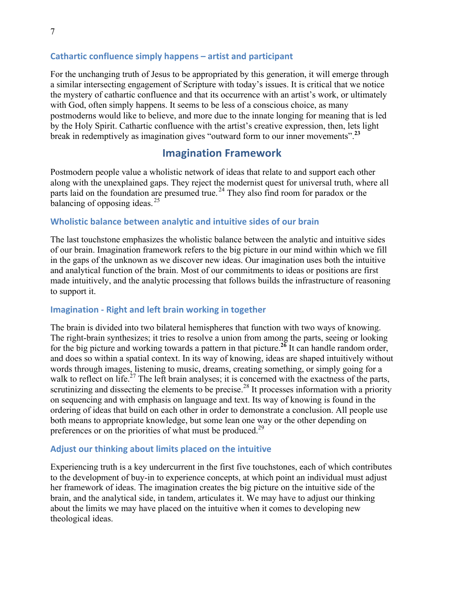### **Cathartic confluence simply happens – artist and participant**

For the unchanging truth of Jesus to be appropriated by this generation, it will emerge through a similar intersecting engagement of Scripture with today's issues. It is critical that we notice the mystery of cathartic confluence and that its occurrence with an artist's work, or ultimately with God, often simply happens. It seems to be less of a conscious choice, as many postmoderns would like to believe, and more due to the innate longing for meaning that is led by the Holy Spirit. Cathartic confluence with the artist's creative expression, then, lets light break in redemptively as imagination gives "outward form to our inner movements".**<sup>23</sup>**

# **Imagination Framework**

Postmodern people value a wholistic network of ideas that relate to and support each other along with the unexplained gaps. They reject the modernist quest for universal truth, where all parts laid on the foundation are presumed true.<sup>24</sup> They also find room for paradox or the balancing of opposing ideas.  $25$ 

#### **Wholistic balance between analytic and intuitive sides of our brain**

The last touchstone emphasizes the wholistic balance between the analytic and intuitive sides of our brain. Imagination framework refers to the big picture in our mind within which we fill in the gaps of the unknown as we discover new ideas. Our imagination uses both the intuitive and analytical function of the brain. Most of our commitments to ideas or positions are first made intuitively, and the analytic processing that follows builds the infrastructure of reasoning to support it.

#### **Imagination - Right and left brain working in together**

The brain is divided into two bilateral hemispheres that function with two ways of knowing. The right-brain synthesizes; it tries to resolve a union from among the parts, seeing or looking for the big picture and working towards a pattern in that picture.<sup>26</sup> It can handle random order, and does so within a spatial context. In its way of knowing, ideas are shaped intuitively without words through images, listening to music, dreams, creating something, or simply going for a walk to reflect on life.<sup>27</sup> The left brain analyses; it is concerned with the exactness of the parts, scrutinizing and dissecting the elements to be precise.<sup>28</sup> It processes information with a priority on sequencing and with emphasis on language and text. Its way of knowing is found in the ordering of ideas that build on each other in order to demonstrate a conclusion. All people use both means to appropriate knowledge, but some lean one way or the other depending on preferences or on the priorities of what must be produced.<sup>29</sup>

#### Adjust our thinking about limits placed on the intuitive

Experiencing truth is a key undercurrent in the first five touchstones, each of which contributes to the development of buy-in to experience concepts, at which point an individual must adjust her framework of ideas. The imagination creates the big picture on the intuitive side of the brain, and the analytical side, in tandem, articulates it. We may have to adjust our thinking about the limits we may have placed on the intuitive when it comes to developing new theological ideas.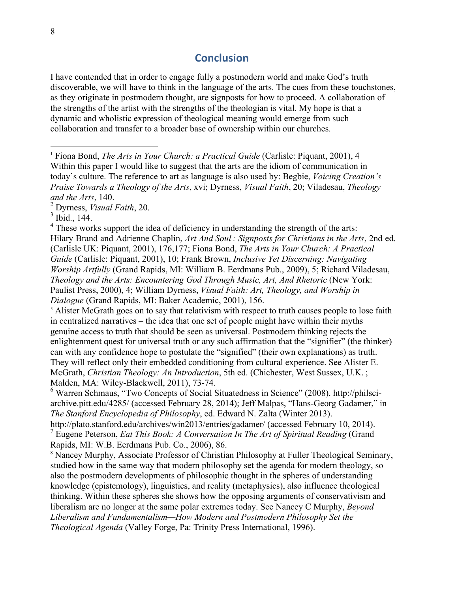### **Conclusion**

I have contended that in order to engage fully a postmodern world and make God's truth discoverable, we will have to think in the language of the arts. The cues from these touchstones, as they originate in postmodern thought, are signposts for how to proceed. A collaboration of the strengths of the artist with the strengths of the theologian is vital. My hope is that a dynamic and wholistic expression of theological meaning would emerge from such collaboration and transfer to a broader base of ownership within our churches.

 $<sup>5</sup>$  Alister McGrath goes on to say that relativism with respect to truth causes people to lose faith</sup> in centralized narratives – the idea that one set of people might have within their myths genuine access to truth that should be seen as universal. Postmodern thinking rejects the enlightenment quest for universal truth or any such affirmation that the "signifier" (the thinker) can with any confidence hope to postulate the "signified" (their own explanations) as truth. They will reflect only their embedded conditioning from cultural experience. See Alister E. McGrath, *Christian Theology: An Introduction*, 5th ed. (Chichester, West Sussex, U.K. ; Malden, MA: Wiley-Blackwell, 2011), 73-74.<br><sup>6</sup> Warren Schmaus, "Two Concepts of Social Situatedness in Science" (2008). http://philsci-

archive.pitt.edu/4285/ (accessed February 28, 2014); Jeff Malpas, "Hans-Georg Gadamer," in *The Stanford Encyclopedia of Philosophy*, ed. Edward N. Zalta (Winter 2013).

http://plato.stanford.edu/archives/win2013/entries/gadamer/ (accessed February 10, 2014). <sup>7</sup> Eugene Peterson, *Eat This Book: A Conversation In The Art of Spiritual Reading* (Grand Rapids, MI: W.B. Eerdmans Pub. Co., 2006), 86.

<sup>8</sup> Nancey Murphy, Associate Professor of Christian Philosophy at Fuller Theological Seminary, studied how in the same way that modern philosophy set the agenda for modern theology, so also the postmodern developments of philosophic thought in the spheres of understanding knowledge (epistemology), linguistics, and reality (metaphysics), also influence theological thinking. Within these spheres she shows how the opposing arguments of conservativism and liberalism are no longer at the same polar extremes today. See Nancey C Murphy, *Beyond Liberalism and Fundamentalism—How Modern and Postmodern Philosophy Set the Theological Agenda* (Valley Forge, Pa: Trinity Press International, 1996).

 <sup>1</sup> Fiona Bond, *The Arts in Your Church: a Practical Guide* (Carlisle: Piquant, 2001), 4 Within this paper I would like to suggest that the arts are the idiom of communication in today's culture. The reference to art as language is also used by: Begbie, *Voicing Creation's Praise Towards a Theology of the Arts*, xvi; Dyrness, *Visual Faith*, 20; Viladesau, *Theology and the Arts*, 140.

<sup>2</sup> Dyrness, *Visual Faith*, 20.

 $3$  Ibid., 144.

 $4$  These works support the idea of deficiency in understanding the strength of the arts: Hilary Brand and Adrienne Chaplin, *Art And Soul : Signposts for Christians in the Arts*, 2nd ed. (Carlisle UK: Piquant, 2001), 176,177; Fiona Bond, *The Arts in Your Church: A Practical Guide* (Carlisle: Piquant, 2001), 10; Frank Brown, *Inclusive Yet Discerning: Navigating Worship Artfully* (Grand Rapids, MI: William B. Eerdmans Pub., 2009), 5; Richard Viladesau, *Theology and the Arts: Encountering God Through Music, Art, And Rhetoric* (New York: Paulist Press, 2000), 4; William Dyrness, *Visual Faith: Art, Theology, and Worship in Dialogue* (Grand Rapids, MI: Baker Academic, 2001), 156.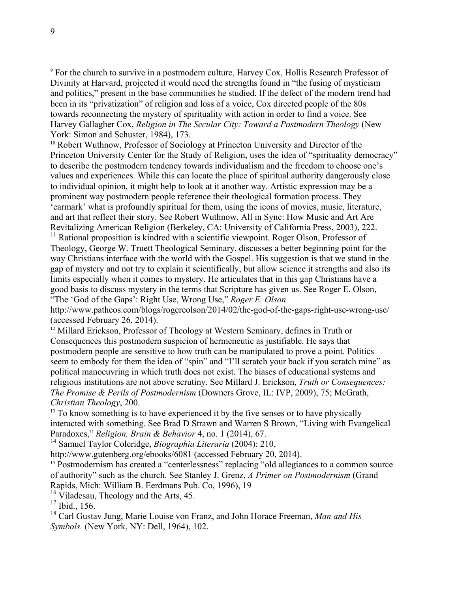<sup>10</sup> Robert Wuthnow, Professor of Sociology at Princeton University and Director of the Princeton University Center for the Study of Religion, uses the idea of "spirituality democracy" to describe the postmodern tendency towards individualism and the freedom to choose one's values and experiences. While this can locate the place of spiritual authority dangerously close to individual opinion, it might help to look at it another way. Artistic expression may be a prominent way postmodern people reference their theological formation process. They 'earmark' what is profoundly spiritual for them, using the icons of movies, music, literature, and art that reflect their story. See Robert Wuthnow, All in Sync: How Music and Art Are Revitalizing American Religion (Berkeley, CA: University of California Press, 2003), 222.<br><sup>11</sup> Rational proposition is kindred with a scientific viewpoint. Roger Olson, Professor of

Theology, George W. Truett Theological Seminary, discusses a better beginning point for the way Christians interface with the world with the Gospel. His suggestion is that we stand in the gap of mystery and not try to explain it scientifically, but allow science it strengths and also its limits especially when it comes to mystery. He articulates that in this gap Christians have a good basis to discuss mystery in the terms that Scripture has given us. See Roger E. Olson, "The 'God of the Gaps': Right Use, Wrong Use," *Roger E. Olson*

http://www.patheos.com/blogs/rogereolson/2014/02/the-god-of-the-gaps-right-use-wrong-use/ (accessed February 26, 2014).

<sup>12</sup> Millard Erickson, Professor of Theology at Western Seminary, defines in Truth or Consequences this postmodern suspicion of hermeneutic as justifiable. He says that postmodern people are sensitive to how truth can be manipulated to prove a point. Politics seem to embody for them the idea of "spin" and "I'll scratch your back if you scratch mine" as political manoeuvring in which truth does not exist. The biases of educational systems and religious institutions are not above scrutiny. See Millard J. Erickson, *Truth or Consequences: The Promise & Perils of Postmodernism* (Downers Grove, IL: IVP, 2009), 75; McGrath, *Christian Theology*, 200.

 $<sup>13</sup>$  To know something is to have experienced it by the five senses or to have physically</sup> interacted with something. See Brad D Strawn and Warren S Brown, "Living with Evangelical Paradoxes," *Religion, Brain & Behavior* 4, no. 1 (2014), 67.

<sup>14</sup> Samuel Taylor Coleridge, *Biographia Literaria* (2004): 210,

http://www.gutenberg.org/ebooks/6081 (accessed February 20, 2014).

<sup>15</sup> Postmodernism has created a "centerlessness" replacing "old allegiances to a common source of authority" such as the church. See Stanley J. Grenz, *A Primer on Postmodernism* (Grand Rapids, Mich: William B. Eerdmans Pub. Co, 1996), 19

 $16$  Viladesau, Theology and the Arts, 45.

<sup>17</sup> Ibid., 156.

<sup>18</sup> Carl Gustav Jung, Marie Louise von Franz, and John Horace Freeman, *Man and His Symbols.* (New York, NY: Dell, 1964), 102.

<sup>&</sup>lt;sup>9</sup> For the church to survive in a postmodern culture, Harvey Cox, Hollis Research Professor of Divinity at Harvard, projected it would need the strengths found in "the fusing of mysticism and politics," present in the base communities he studied. If the defect of the modern trend had been in its "privatization" of religion and loss of a voice, Cox directed people of the 80s towards reconnecting the mystery of spirituality with action in order to find a voice. See Harvey Gallagher Cox, *Religion in The Secular City: Toward a Postmodern Theology* (New York: Simon and Schuster, 1984), 173.